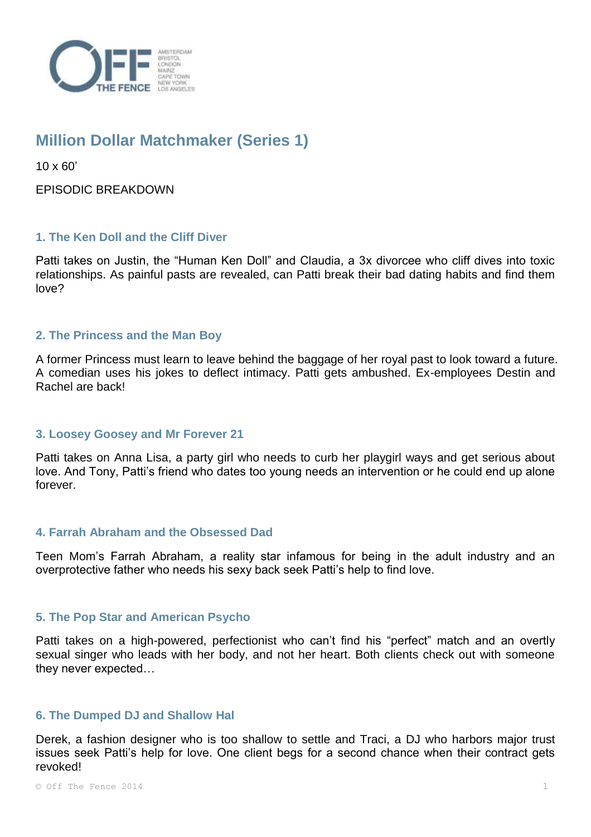

# **Million Dollar Matchmaker (Series 1)**

10 x 60'

EPISODIC BREAKDOWN

## **1. The Ken Doll and the Cliff Diver**

Patti takes on Justin, the "Human Ken Doll" and Claudia, a 3x divorcee who cliff dives into toxic relationships. As painful pasts are revealed, can Patti break their bad dating habits and find them love?

## **2. The Princess and the Man Boy**

A former Princess must learn to leave behind the baggage of her royal past to look toward a future. A comedian uses his jokes to deflect intimacy. Patti gets ambushed. Ex-employees Destin and Rachel are back!

## **3. Loosey Goosey and Mr Forever 21**

Patti takes on Anna Lisa, a party girl who needs to curb her playgirl ways and get serious about love. And Tony, Patti's friend who dates too young needs an intervention or he could end up alone forever.

## **4. Farrah Abraham and the Obsessed Dad**

Teen Mom's Farrah Abraham, a reality star infamous for being in the adult industry and an overprotective father who needs his sexy back seek Patti's help to find love.

## **5. The Pop Star and American Psycho**

Patti takes on a high-powered, perfectionist who can't find his "perfect" match and an overtly sexual singer who leads with her body, and not her heart. Both clients check out with someone they never expected…

## **6. The Dumped DJ and Shallow Hal**

Derek, a fashion designer who is too shallow to settle and Traci, a DJ who harbors major trust issues seek Patti's help for love. One client begs for a second chance when their contract gets revoked!